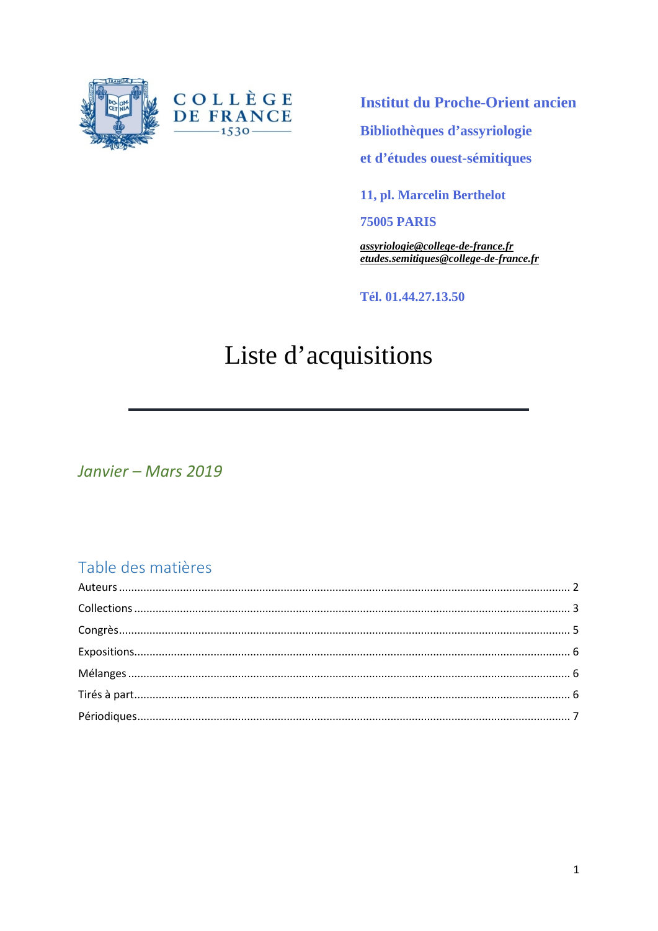



**Institut du Proche-Orient ancien** 

Bibliothèques d'assyriologie

et d'études ouest-sémitiques

11, pl. Marcelin Berthelot

**75005 PARIS** 

assyriologie@college-de-france.fr etudes.semitiques@college-de-france.fr

Tél. 01.44.27.13.50

# Liste d'acquisitions

Janvier - Mars 2019

#### Table des matières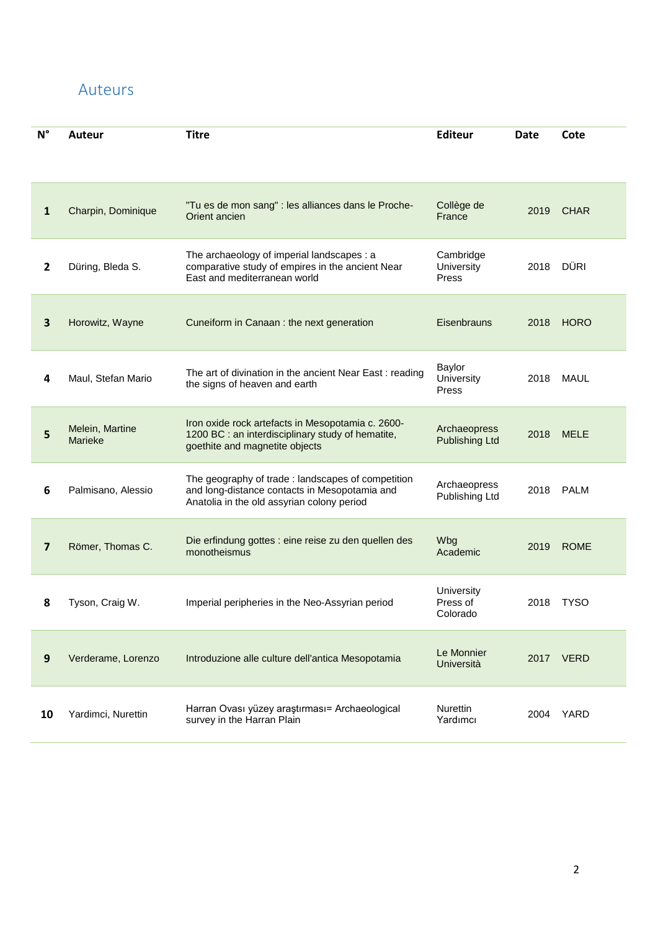#### <span id="page-1-0"></span>Auteurs

| $N^{\circ}$    | <b>Auteur</b>                                                                                                                                                                                                   | <b>Titre</b>                                                                                                                                                       | <b>Editeur</b>              | <b>Date</b> | Cote        |
|----------------|-----------------------------------------------------------------------------------------------------------------------------------------------------------------------------------------------------------------|--------------------------------------------------------------------------------------------------------------------------------------------------------------------|-----------------------------|-------------|-------------|
|                |                                                                                                                                                                                                                 |                                                                                                                                                                    |                             |             |             |
| 1              | Charpin, Dominique                                                                                                                                                                                              | "Tu es de mon sang" : les alliances dans le Proche-<br>Collège de<br>Orient ancien<br>France                                                                       |                             | 2019        | <b>CHAR</b> |
| $\mathbf{2}$   | Düring, Bleda S.                                                                                                                                                                                                | The archaeology of imperial landscapes : a<br>Cambridge<br>comparative study of empires in the ancient Near<br>University<br>East and mediterranean world<br>Press |                             | 2018        | DÜRI        |
| 3              | Horowitz, Wayne                                                                                                                                                                                                 | Eisenbrauns<br>Cuneiform in Canaan : the next generation                                                                                                           |                             | 2018        | <b>HORO</b> |
| 4              | Baylor<br>The art of divination in the ancient Near East: reading<br>Maul, Stefan Mario<br>University<br>the signs of heaven and earth<br>Press                                                                 |                                                                                                                                                                    | 2018                        | <b>MAUL</b> |             |
| 5              | Iron oxide rock artefacts in Mesopotamia c. 2600-<br>Melein, Martine<br>Archaeopress<br>1200 BC : an interdisciplinary study of hematite,<br>Marieke<br><b>Publishing Ltd</b><br>goethite and magnetite objects |                                                                                                                                                                    | 2018                        | <b>MELE</b> |             |
| 6              | The geography of trade : landscapes of competition<br>Archaeopress<br>and long-distance contacts in Mesopotamia and<br>Palmisano, Alessio<br>Publishing Ltd<br>Anatolia in the old assyrian colony period       |                                                                                                                                                                    | 2018                        | <b>PALM</b> |             |
| $\overline{7}$ | Die erfindung gottes : eine reise zu den quellen des<br>Wbg<br>Römer, Thomas C.<br>monotheismus<br>Academic                                                                                                     |                                                                                                                                                                    | 2019                        | <b>ROME</b> |             |
| 8              | University<br>Press of<br>Imperial peripheries in the Neo-Assyrian period<br>Tyson, Craig W.<br>Colorado                                                                                                        |                                                                                                                                                                    | 2018                        | <b>TYSO</b> |             |
| 9              | Le Monnier<br>Verderame, Lorenzo<br>Introduzione alle culture dell'antica Mesopotamia<br>Università                                                                                                             |                                                                                                                                                                    | 2017                        | <b>VERD</b> |             |
| 10             | Yardimci, Nurettin                                                                                                                                                                                              | Harran Ovası yüzey araştırması= Archaeological<br>survey in the Harran Plain                                                                                       | <b>Nurettin</b><br>Yardımcı | 2004        | YARD        |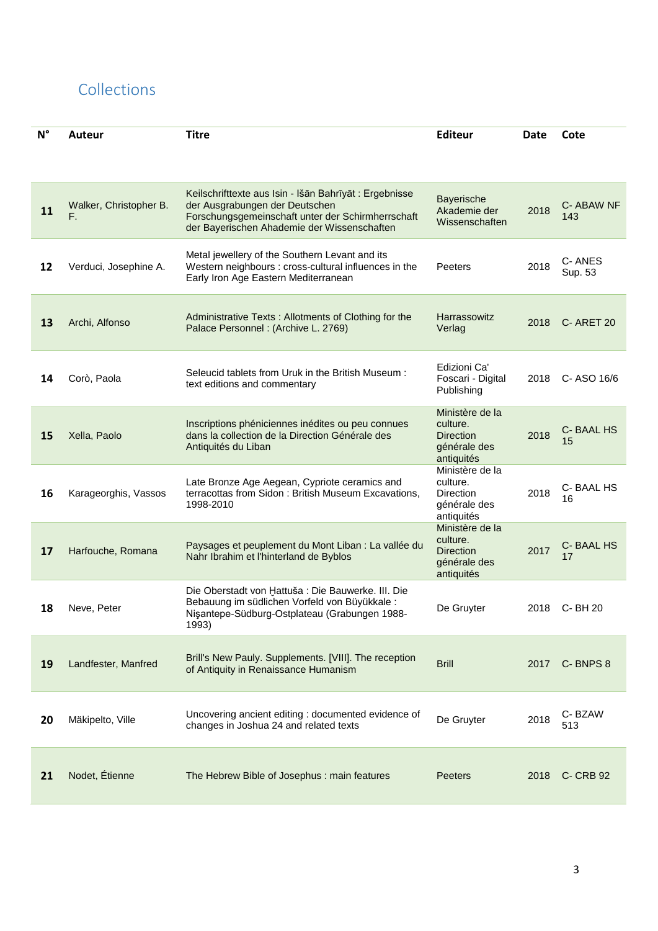#### <span id="page-2-0"></span>Collections

| $N^{\circ}$ | <b>Editeur</b><br><b>Titre</b><br><b>Auteur</b>                                                                                                                                                                                                                              |                                                                                                                                                                            |                                                                               | <b>Date</b>      | Cote              |
|-------------|------------------------------------------------------------------------------------------------------------------------------------------------------------------------------------------------------------------------------------------------------------------------------|----------------------------------------------------------------------------------------------------------------------------------------------------------------------------|-------------------------------------------------------------------------------|------------------|-------------------|
|             |                                                                                                                                                                                                                                                                              |                                                                                                                                                                            |                                                                               |                  |                   |
| 11          | Keilschrifttexte aus Isin - Išān Bahrīyāt : Ergebnisse<br>Bayerische<br>Walker, Christopher B.<br>der Ausgrabungen der Deutschen<br>Akademie der<br>Forschungsgemeinschaft unter der Schirmherrschaft<br>F.<br>Wissenschaften<br>der Bayerischen Ahademie der Wissenschaften |                                                                                                                                                                            | 2018                                                                          | C-ABAW NF<br>143 |                   |
| 12          | Verduci, Josephine A.                                                                                                                                                                                                                                                        | Metal jewellery of the Southern Levant and its<br>Western neighbours : cross-cultural influences in the<br>Peeters<br>Early Iron Age Eastern Mediterranean                 |                                                                               | 2018             | C-ANES<br>Sup. 53 |
| 13          | Archi, Alfonso                                                                                                                                                                                                                                                               | Harrassowitz<br>Administrative Texts: Allotments of Clothing for the<br>Palace Personnel : (Archive L. 2769)<br>Verlag                                                     |                                                                               | 2018             | <b>C- ARET 20</b> |
| 14          | Edizioni Ca'<br>Seleucid tablets from Uruk in the British Museum:<br>Corò, Paola<br>Foscari - Digital<br>text editions and commentary<br>Publishing                                                                                                                          |                                                                                                                                                                            | 2018                                                                          | C-ASO 16/6       |                   |
| 15          | Xella, Paolo                                                                                                                                                                                                                                                                 | Inscriptions phéniciennes inédites ou peu connues<br>dans la collection de la Direction Générale des<br>Antiquités du Liban                                                | Ministère de la<br>culture.<br><b>Direction</b><br>générale des<br>antiquités | 2018             | C-BAAL HS<br>15   |
| 16          | Karageorghis, Vassos                                                                                                                                                                                                                                                         | Late Bronze Age Aegean, Cypriote ceramics and<br>terracottas from Sidon: British Museum Excavations,<br>1998-2010                                                          | Ministère de la<br>culture.<br>Direction<br>générale des<br>antiquités        | 2018             | C-BAAL HS<br>16   |
| 17          | Harfouche, Romana                                                                                                                                                                                                                                                            | Paysages et peuplement du Mont Liban : La vallée du<br>Nahr Ibrahim et l'hinterland de Byblos                                                                              | Ministère de la<br>culture.<br><b>Direction</b><br>générale des<br>antiquités | 2017             | C-BAAL HS<br>17   |
| 18          | Neve, Peter                                                                                                                                                                                                                                                                  | Die Oberstadt von Hattuša : Die Bauwerke. III. Die<br>Bebauung im südlichen Vorfeld von Büyükkale:<br>De Gruyter<br>Nişantepe-Südburg-Ostplateau (Grabungen 1988-<br>1993) |                                                                               | 2018             | C-BH 20           |
| 19          | Landfester, Manfred                                                                                                                                                                                                                                                          | Brill's New Pauly. Supplements. [VIII]. The reception<br>of Antiquity in Renaissance Humanism                                                                              | <b>Brill</b>                                                                  | 2017             | C-BNPS 8          |
| 20          | Mäkipelto, Ville                                                                                                                                                                                                                                                             | Uncovering ancient editing : documented evidence of<br>changes in Joshua 24 and related texts                                                                              | De Gruyter                                                                    | 2018             | C-BZAW<br>513     |
| 21          | Nodet, Étienne                                                                                                                                                                                                                                                               | The Hebrew Bible of Josephus : main features                                                                                                                               | <b>Peeters</b>                                                                | 2018             | <b>C- CRB 92</b>  |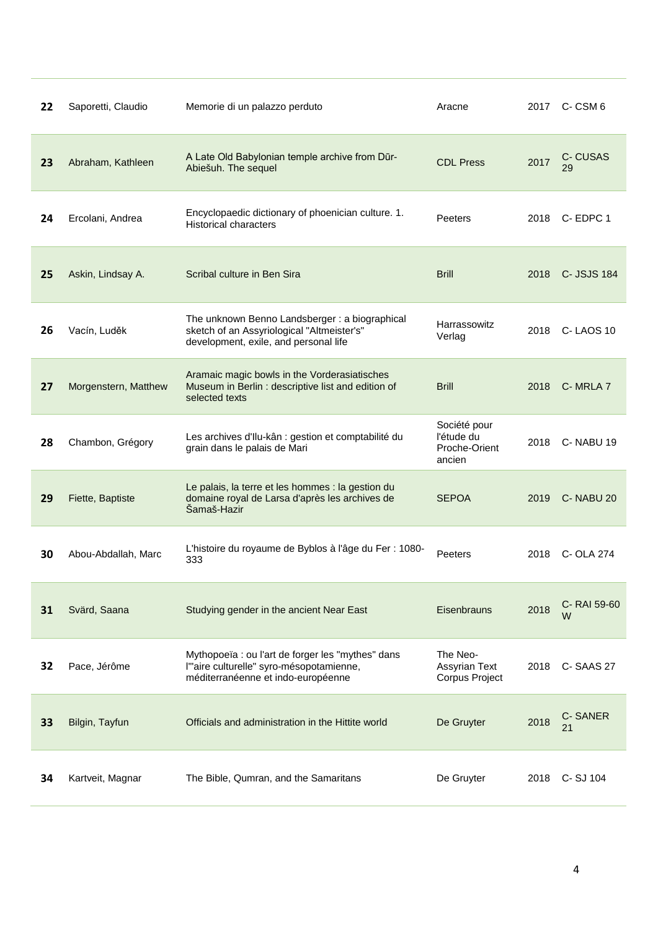| 22 | Saporetti, Claudio                                                                                                                                           | Memorie di un palazzo perduto<br>Aracne                                                                                                                                            |                                                       | 2017 | C-CSM 6          |
|----|--------------------------------------------------------------------------------------------------------------------------------------------------------------|------------------------------------------------------------------------------------------------------------------------------------------------------------------------------------|-------------------------------------------------------|------|------------------|
| 23 | Abraham, Kathleen                                                                                                                                            | A Late Old Babylonian temple archive from Dūr-<br><b>CDL Press</b><br>Abiešuh. The sequel                                                                                          |                                                       | 2017 | C-CUSAS<br>29    |
| 24 | Ercolani, Andrea                                                                                                                                             | Encyclopaedic dictionary of phoenician culture. 1.<br><b>Historical characters</b>                                                                                                 | Peeters                                               | 2018 | C-EDPC 1         |
| 25 | Askin, Lindsay A.                                                                                                                                            | Scribal culture in Ben Sira                                                                                                                                                        | <b>Brill</b>                                          | 2018 | C- JSJS 184      |
| 26 | Vacín, Luděk                                                                                                                                                 | The unknown Benno Landsberger : a biographical<br>Harrassowitz<br>sketch of an Assyriological "Altmeister's"<br>Verlag<br>development, exile, and personal life                    |                                                       | 2018 | C-LAOS 10        |
| 27 | Aramaic magic bowls in the Vorderasiatisches<br>Morgenstern, Matthew<br>Museum in Berlin : descriptive list and edition of<br><b>Brill</b><br>selected texts |                                                                                                                                                                                    |                                                       | 2018 | C-MRLA 7         |
| 28 | Chambon, Grégory                                                                                                                                             | Les archives d'Ilu-kân : gestion et comptabilité du<br>grain dans le palais de Mari                                                                                                | Société pour<br>l'étude du<br>Proche-Orient<br>ancien | 2018 | C-NABU 19        |
| 29 | Fiette, Baptiste                                                                                                                                             | Le palais, la terre et les hommes : la gestion du<br>domaine royal de Larsa d'après les archives de<br>Šamaš-Hazir                                                                 | <b>SEPOA</b>                                          | 2019 | C-NABU 20        |
| 30 | Abou-Abdallah, Marc                                                                                                                                          | L'histoire du royaume de Byblos à l'âge du Fer : 1080-<br>333                                                                                                                      | Peeters                                               | 2018 | C- OLA 274       |
| 31 | Svärd, Saana                                                                                                                                                 | Studying gender in the ancient Near East                                                                                                                                           | Eisenbrauns                                           | 2018 | C-RAI 59-60<br>w |
| 32 | Pace, Jérôme                                                                                                                                                 | The Neo-<br>Mythopoeïa : ou l'art de forger les "mythes" dans<br>l'"aire culturelle" syro-mésopotamienne,<br>Assyrian Text<br>méditerranéenne et indo-européenne<br>Corpus Project |                                                       | 2018 | C-SAAS 27        |
| 33 | Bilgin, Tayfun                                                                                                                                               | De Gruyter<br>Officials and administration in the Hittite world                                                                                                                    |                                                       | 2018 | C-SANER<br>21    |
| 34 | Kartveit, Magnar                                                                                                                                             | The Bible, Qumran, and the Samaritans                                                                                                                                              | De Gruyter                                            | 2018 | C-SJ 104         |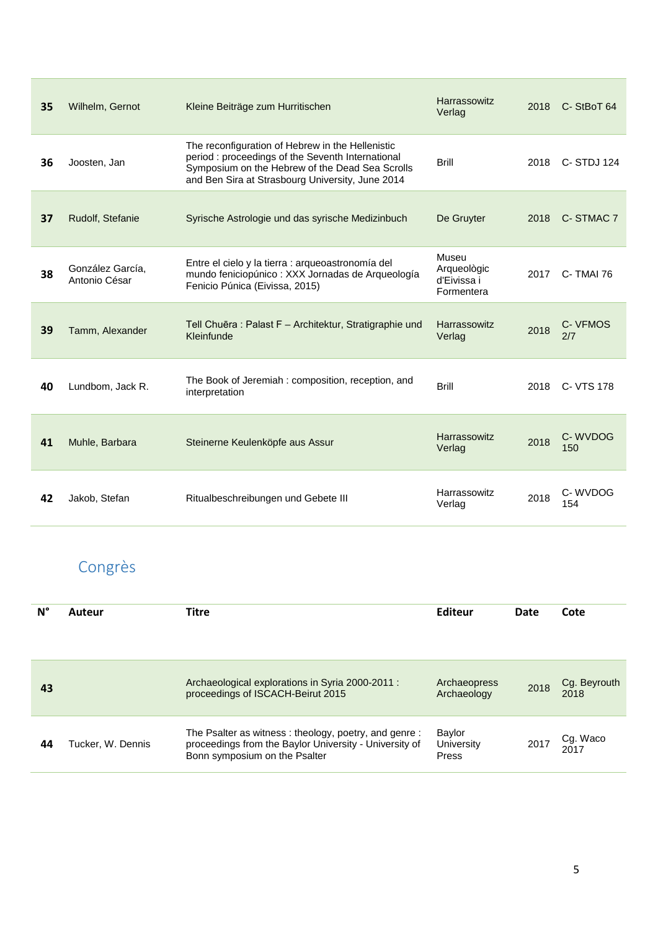| 35 | Wilhelm, Gernot                   | Harrassowitz<br>Kleine Beiträge zum Hurritischen<br>Verlag                                                                                                                                                                   |                        | 2018 | C-StBoT 64      |
|----|-----------------------------------|------------------------------------------------------------------------------------------------------------------------------------------------------------------------------------------------------------------------------|------------------------|------|-----------------|
| 36 | Joosten, Jan                      | The reconfiguration of Hebrew in the Hellenistic<br>period : proceedings of the Seventh International<br><b>Brill</b><br>Symposium on the Hebrew of the Dead Sea Scrolls<br>and Ben Sira at Strasbourg University, June 2014 |                        | 2018 | C-STDJ 124      |
| 37 | Rudolf, Stefanie                  | Syrische Astrologie und das syrische Medizinbuch                                                                                                                                                                             | De Gruyter             | 2018 | C-STMAC 7       |
| 38 | González García,<br>Antonio César | Museu<br>Entre el cielo y la tierra : arqueoastronomía del<br>Arqueològic<br>mundo feniciopúnico: XXX Jornadas de Arqueología<br>d'Eivissa i<br>Fenicio Púnica (Eivissa, 2015)<br>Formentera                                 |                        | 2017 | C-TMAI 76       |
| 39 | Tamm, Alexander                   | Tell Chuēra : Palast F - Architektur, Stratigraphie und<br>Kleinfunde                                                                                                                                                        | Harrassowitz<br>Verlag | 2018 | C- VFMOS<br>2/7 |
| 40 | Lundbom, Jack R.                  | The Book of Jeremiah: composition, reception, and<br>interpretation                                                                                                                                                          | <b>Brill</b>           | 2018 | C- VTS 178      |
| 41 | Muhle, Barbara                    | Harrassowitz<br>Steinerne Keulenköpfe aus Assur<br>Verlag                                                                                                                                                                    |                        | 2018 | C-WVDOG<br>150  |
| 42 | Jakob, Stefan                     | Ritualbeschreibungen und Gebete III                                                                                                                                                                                          | Harrassowitz<br>Verlag | 2018 | C-WVDOG<br>154  |

# <span id="page-4-0"></span>Congrès

| N° | Auteur            | <b>Titre</b>                                                                                                                                    | Editeur                       | Date | Cote                 |
|----|-------------------|-------------------------------------------------------------------------------------------------------------------------------------------------|-------------------------------|------|----------------------|
| 43 |                   | Archaeological explorations in Syria 2000-2011 :<br>proceedings of ISCACH-Beirut 2015                                                           | Archaeopress<br>Archaeology   | 2018 | Cg. Beyrouth<br>2018 |
| 44 | Tucker, W. Dennis | The Psalter as witness: theology, poetry, and genre:<br>proceedings from the Baylor University - University of<br>Bonn symposium on the Psalter | Baylor<br>University<br>Press | 2017 | Cg. Waco<br>2017     |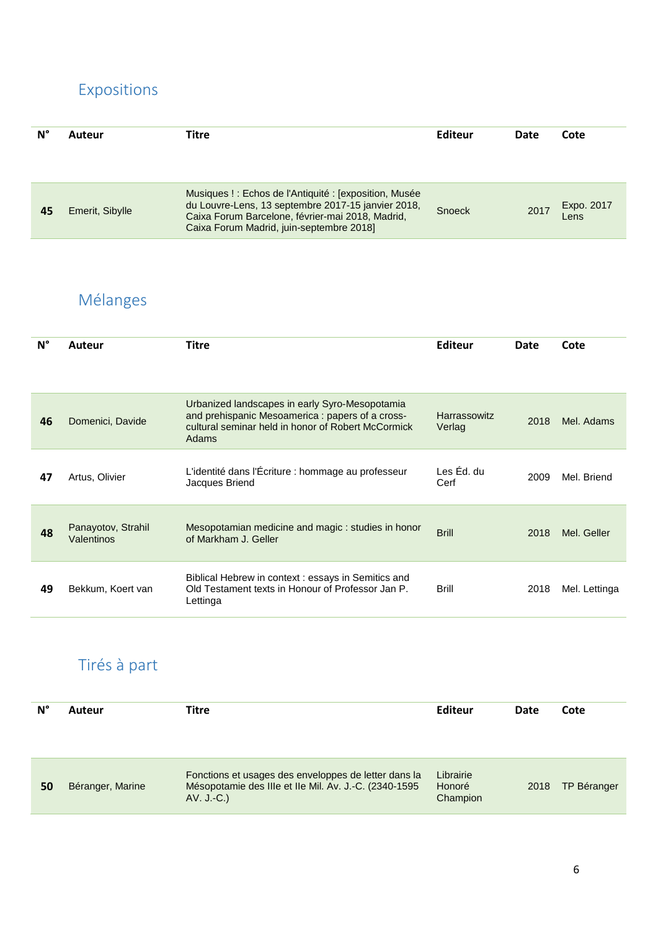### <span id="page-5-0"></span>Expositions

| N° | Auteur          | Titre                                                                                                                                                                                                      | Editeur | Date | Cote               |
|----|-----------------|------------------------------------------------------------------------------------------------------------------------------------------------------------------------------------------------------------|---------|------|--------------------|
| 45 | Emerit, Sibylle | Musiques!: Echos de l'Antiquité : Jexposition, Musée<br>du Louvre-Lens, 13 septembre 2017-15 janvier 2018,<br>Caixa Forum Barcelone, février-mai 2018, Madrid,<br>Caixa Forum Madrid, juin-septembre 2018] | Snoeck  | 2017 | Expo. 2017<br>Lens |

# <span id="page-5-1"></span>Mélanges

| $N^{\circ}$ | Auteur                           | <b>Titre</b>                                                                                                                                                      | Editeur                       | Date | Cote          |
|-------------|----------------------------------|-------------------------------------------------------------------------------------------------------------------------------------------------------------------|-------------------------------|------|---------------|
| 46          | Domenici, Davide                 | Urbanized landscapes in early Syro-Mesopotamia<br>and prehispanic Mesoamerica : papers of a cross-<br>cultural seminar held in honor of Robert McCormick<br>Adams | <b>Harrassowitz</b><br>Verlag | 2018 | Mel. Adams    |
| 47          | Artus, Olivier                   | L'identité dans l'Écriture : hommage au professeur<br>Jacques Briend                                                                                              | Les Éd. du<br>Cerf            | 2009 | Mel. Briend   |
| 48          | Panayotov, Strahil<br>Valentinos | Mesopotamian medicine and magic: studies in honor<br>of Markham J. Geller                                                                                         | <b>Brill</b>                  | 2018 | Mel. Geller   |
| 49          | Bekkum, Koert van                | Biblical Hebrew in context: essays in Semitics and<br>Old Testament texts in Honour of Professor Jan P.<br>Lettinga                                               | Brill                         | 2018 | Mel. Lettinga |

### <span id="page-5-2"></span>Tirés à part

| N° | <b>Auteur</b>    | Titre                                                                                                                         | Editeur                         | Date | Cote               |
|----|------------------|-------------------------------------------------------------------------------------------------------------------------------|---------------------------------|------|--------------------|
| 50 | Béranger, Marine | Fonctions et usages des enveloppes de letter dans la<br>Mésopotamie des IIIe et IIe Mil. Av. J.-C. (2340-1595<br>$AV. J.-C.)$ | Librairie<br>Honoré<br>Champion | 2018 | <b>TP Béranger</b> |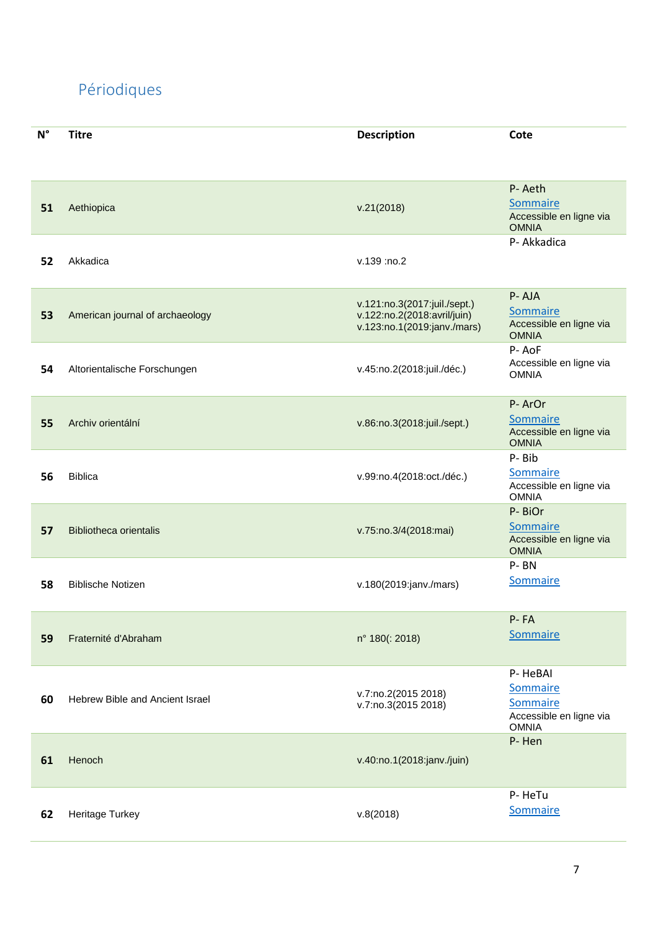# <span id="page-6-0"></span>Périodiques

| $\mathsf{N}^\circ$ | <b>Titre</b>                    | <b>Description</b>                                                                         | Cote                                                                       |
|--------------------|---------------------------------|--------------------------------------------------------------------------------------------|----------------------------------------------------------------------------|
|                    |                                 |                                                                                            |                                                                            |
| 51                 | Aethiopica                      | v.21(2018)                                                                                 | P-Aeth<br>Sommaire<br>Accessible en ligne via<br><b>OMNIA</b>              |
| 52                 | Akkadica                        | v.139 :no.2                                                                                | P- Akkadica                                                                |
| 53                 | American journal of archaeology | v.121:no.3(2017:juil./sept.)<br>v.122:no.2(2018:avril/juin)<br>v.123:no.1(2019:janv./mars) | P-AJA<br>Sommaire<br>Accessible en ligne via<br><b>OMNIA</b>               |
| 54                 | Altorientalische Forschungen    | v.45:no.2(2018:juil./déc.)                                                                 | P-AoF<br>Accessible en ligne via<br><b>OMNIA</b>                           |
| 55                 | Archiv orientální               | v.86:no.3(2018:juil./sept.)                                                                | P-ArOr<br>Sommaire<br>Accessible en ligne via<br><b>OMNIA</b>              |
| 56                 | <b>Biblica</b>                  | v.99:no.4(2018:oct./déc.)                                                                  | P-Bib<br>Sommaire<br>Accessible en ligne via<br><b>OMNIA</b>               |
| 57                 | <b>Bibliotheca orientalis</b>   | v.75:no.3/4(2018:mai)                                                                      | P-BiOr<br>Sommaire<br>Accessible en ligne via<br><b>OMNIA</b>              |
| 58                 | <b>Biblische Notizen</b>        | v.180(2019:janv./mars)                                                                     | P-BN<br>Sommaire                                                           |
| 59                 | Fraternité d'Abraham            | n° 180(: 2018)                                                                             | P-FA<br>Sommaire                                                           |
| 60                 | Hebrew Bible and Ancient Israel | v.7:no.2(2015 2018)<br>v.7:no.3(2015 2018)                                                 | P-HeBAI<br>Sommaire<br>Sommaire<br>Accessible en ligne via<br><b>OMNIA</b> |
| 61                 | Henoch                          | v.40:no.1(2018:janv./juin)                                                                 | P-Hen                                                                      |
| 62                 | Heritage Turkey                 | v.8(2018)                                                                                  | P-HeTu<br>Sommaire                                                         |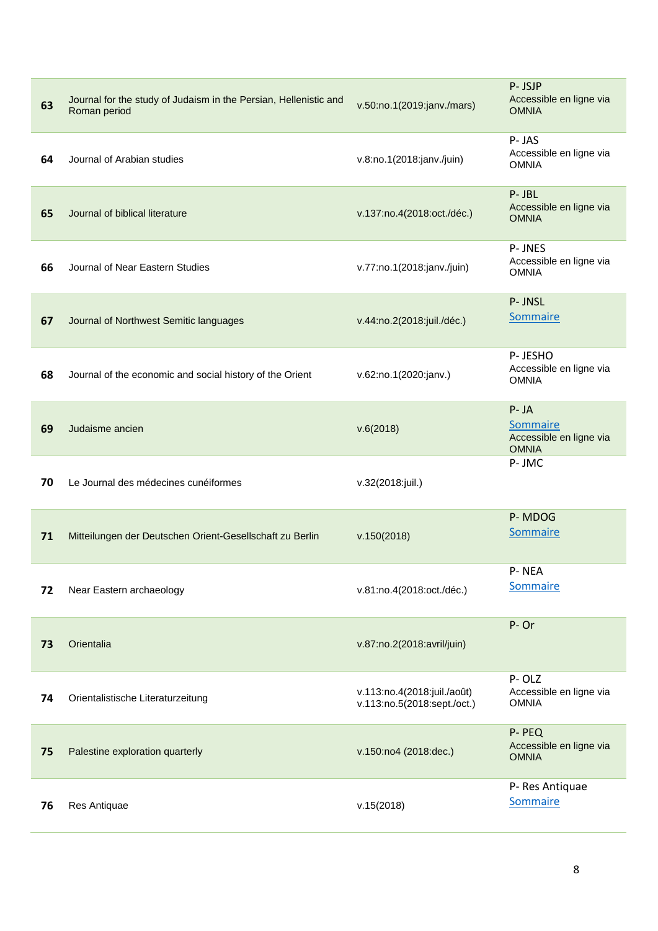| 63 | Journal for the study of Judaism in the Persian, Hellenistic and<br>Roman period | v.50:no.1(2019:janv./mars)                                 | P-JSJP<br>Accessible en ligne via<br><b>OMNIA</b>               |
|----|----------------------------------------------------------------------------------|------------------------------------------------------------|-----------------------------------------------------------------|
| 64 | Journal of Arabian studies                                                       | v.8:no.1(2018:janv./juin)                                  | P-JAS<br>Accessible en ligne via<br><b>OMNIA</b>                |
| 65 | Journal of biblical literature                                                   | v.137:no.4(2018:oct./déc.)                                 | P-JBL<br>Accessible en ligne via<br><b>OMNIA</b>                |
| 66 | Journal of Near Eastern Studies                                                  | v.77:no.1(2018:janv./juin)                                 | P-JNES<br>Accessible en ligne via<br><b>OMNIA</b>               |
| 67 | Journal of Northwest Semitic languages                                           | v.44:no.2(2018:juil./déc.)                                 | P-JNSL<br><b>Sommaire</b>                                       |
| 68 | Journal of the economic and social history of the Orient                         | v.62:no.1(2020:janv.)                                      | P-JESHO<br>Accessible en ligne via<br><b>OMNIA</b>              |
| 69 | Judaisme ancien                                                                  | v.6(2018)                                                  | $P - JA$<br>Sommaire<br>Accessible en ligne via<br><b>OMNIA</b> |
| 70 | Le Journal des médecines cunéiformes                                             | v.32(2018:juil.)                                           | P-JMC                                                           |
| 71 | Mitteilungen der Deutschen Orient-Gesellschaft zu Berlin                         | v.150(2018)                                                | P-MDOG<br>Sommaire                                              |
| 72 | Near Eastern archaeology                                                         | v.81:no.4(2018:oct./déc.)                                  | P-NEA<br>Sommaire                                               |
| 73 | Orientalia                                                                       | v.87:no.2(2018:avril/juin)                                 | P-Or                                                            |
| 74 | Orientalistische Literaturzeitung                                                | v.113:no.4(2018:juil./août)<br>v.113:no.5(2018:sept./oct.) | P-OLZ<br>Accessible en ligne via<br><b>OMNIA</b>                |
| 75 | Palestine exploration quarterly                                                  | v.150:no4 (2018:dec.)                                      | P-PEQ<br>Accessible en ligne via<br><b>OMNIA</b>                |
| 76 | Res Antiquae                                                                     | v.15(2018)                                                 | P- Res Antiquae<br>Sommaire                                     |